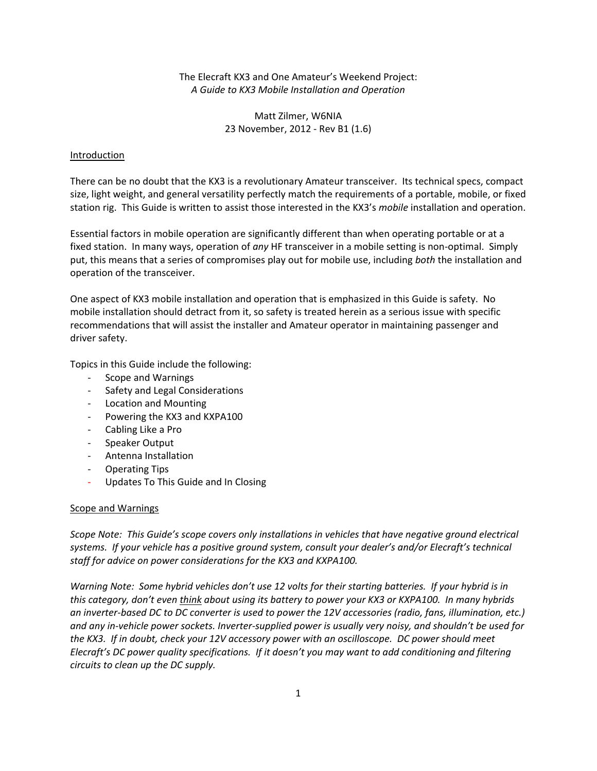The Elecraft KX3 and One Amateur's Weekend Project: *A Guide to KX3 Mobile Installation and Operation* 

> Matt Zilmer, W6NIA 23 November, 2012 ‐ Rev B1 (1.6)

#### Introduction

There can be no doubt that the KX3 is a revolutionary Amateur transceiver. Its technical specs, compact size, light weight, and general versatility perfectly match the requirements of a portable, mobile, or fixed station rig. This Guide is written to assist those interested in the KX3's *mobile* installation and operation.

Essential factors in mobile operation are significantly different than when operating portable or at a fixed station. In many ways, operation of *any* HF transceiver in a mobile setting is non‐optimal. Simply put, this means that a series of compromises play out for mobile use, including *both* the installation and operation of the transceiver.

One aspect of KX3 mobile installation and operation that is emphasized in this Guide is safety. No mobile installation should detract from it, so safety is treated herein as a serious issue with specific recommendations that will assist the installer and Amateur operator in maintaining passenger and driver safety.

Topics in this Guide include the following:

- ‐ Scope and Warnings
- ‐ Safety and Legal Considerations
- ‐ Location and Mounting
- ‐ Powering the KX3 and KXPA100
- ‐ Cabling Like a Pro
- ‐ Speaker Output
- ‐ Antenna Installation
- ‐ Operating Tips
- ‐ Updates To This Guide and In Closing

#### Scope and Warnings

*Scope Note: This Guide's scope covers only installations in vehicles that have negative ground electrical systems. If your vehicle has a positive ground system, consult your dealer's and/or Elecraft's technical staff for advice on power considerations for the KX3 and KXPA100.* 

*Warning Note: Some hybrid vehicles don't use 12 volts for their starting batteries. If your hybrid is in this category, don't even think about using its battery to power your KX3 or KXPA100. In many hybrids an inverter‐based DC to DC converter is used to power the 12V accessories (radio, fans, illumination, etc.) and any in‐vehicle power sockets. Inverter‐supplied power is usually very noisy, and shouldn't be used for the KX3. If in doubt, check your 12V accessory power with an oscilloscope. DC power should meet Elecraft's DC power quality specifications. If it doesn't you may want to add conditioning and filtering circuits to clean up the DC supply.*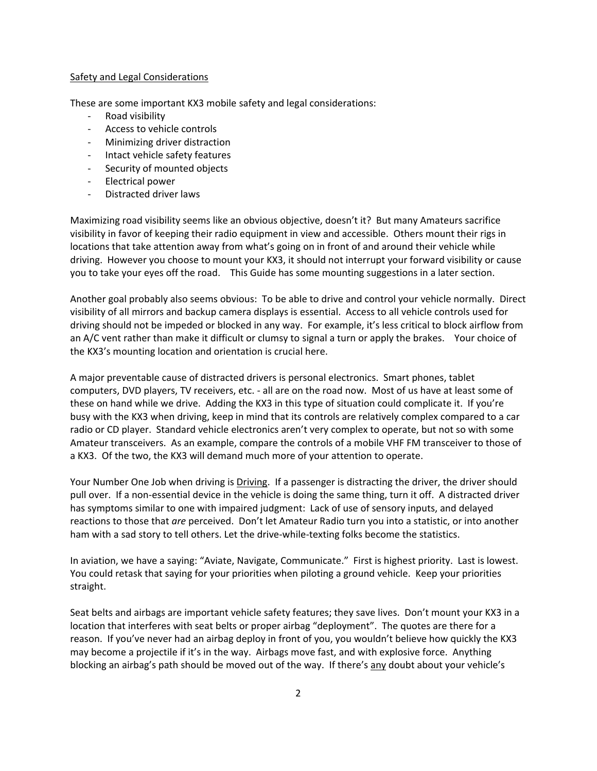### Safety and Legal Considerations

These are some important KX3 mobile safety and legal considerations:

- ‐ Road visibility
- ‐ Access to vehicle controls
- ‐ Minimizing driver distraction
- ‐ Intact vehicle safety features
- ‐ Security of mounted objects
- ‐ Electrical power
- ‐ Distracted driver laws

Maximizing road visibility seems like an obvious objective, doesn't it? But many Amateurs sacrifice visibility in favor of keeping their radio equipment in view and accessible. Others mount their rigs in locations that take attention away from what's going on in front of and around their vehicle while driving. However you choose to mount your KX3, it should not interrupt your forward visibility or cause you to take your eyes off the road. This Guide has some mounting suggestions in a later section.

Another goal probably also seems obvious: To be able to drive and control your vehicle normally. Direct visibility of all mirrors and backup camera displays is essential. Access to all vehicle controls used for driving should not be impeded or blocked in any way. For example, it's less critical to block airflow from an A/C vent rather than make it difficult or clumsy to signal a turn or apply the brakes. Your choice of the KX3's mounting location and orientation is crucial here.

A major preventable cause of distracted drivers is personal electronics. Smart phones, tablet computers, DVD players, TV receivers, etc. ‐ all are on the road now. Most of us have at least some of these on hand while we drive. Adding the KX3 in this type of situation could complicate it. If you're busy with the KX3 when driving, keep in mind that its controls are relatively complex compared to a car radio or CD player. Standard vehicle electronics aren't very complex to operate, but not so with some Amateur transceivers. As an example, compare the controls of a mobile VHF FM transceiver to those of a KX3. Of the two, the KX3 will demand much more of your attention to operate.

Your Number One Job when driving is Driving. If a passenger is distracting the driver, the driver should pull over. If a non‐essential device in the vehicle is doing the same thing, turn it off. A distracted driver has symptoms similar to one with impaired judgment: Lack of use of sensory inputs, and delayed reactions to those that *are* perceived. Don't let Amateur Radio turn you into a statistic, or into another ham with a sad story to tell others. Let the drive-while-texting folks become the statistics.

In aviation, we have a saying: "Aviate, Navigate, Communicate." First is highest priority. Last is lowest. You could retask that saying for your priorities when piloting a ground vehicle. Keep your priorities straight.

Seat belts and airbags are important vehicle safety features; they save lives. Don't mount your KX3 in a location that interferes with seat belts or proper airbag "deployment". The quotes are there for a reason. If you've never had an airbag deploy in front of you, you wouldn't believe how quickly the KX3 may become a projectile if it's in the way. Airbags move fast, and with explosive force. Anything blocking an airbag's path should be moved out of the way. If there's any doubt about your vehicle's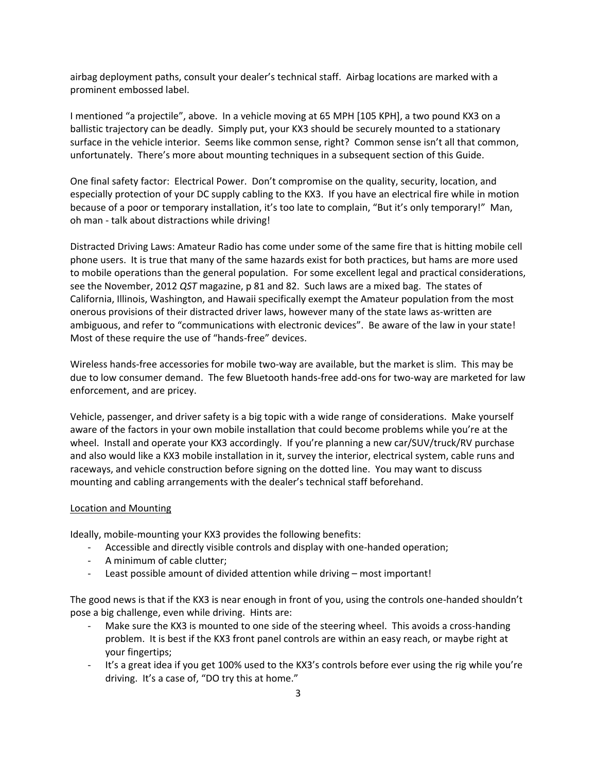airbag deployment paths, consult your dealer's technical staff. Airbag locations are marked with a prominent embossed label.

I mentioned "a projectile", above. In a vehicle moving at 65 MPH [105 KPH], a two pound KX3 on a ballistic trajectory can be deadly. Simply put, your KX3 should be securely mounted to a stationary surface in the vehicle interior. Seems like common sense, right? Common sense isn't all that common, unfortunately. There's more about mounting techniques in a subsequent section of this Guide.

One final safety factor: Electrical Power. Don't compromise on the quality, security, location, and especially protection of your DC supply cabling to the KX3. If you have an electrical fire while in motion because of a poor or temporary installation, it's too late to complain, "But it's only temporary!" Man, oh man ‐ talk about distractions while driving!

Distracted Driving Laws: Amateur Radio has come under some of the same fire that is hitting mobile cell phone users. It is true that many of the same hazards exist for both practices, but hams are more used to mobile operations than the general population. For some excellent legal and practical considerations, see the November, 2012 *QST* magazine, p 81 and 82. Such laws are a mixed bag. The states of California, Illinois, Washington, and Hawaii specifically exempt the Amateur population from the most onerous provisions of their distracted driver laws, however many of the state laws as‐written are ambiguous, and refer to "communications with electronic devices". Be aware of the law in your state! Most of these require the use of "hands‐free" devices.

Wireless hands-free accessories for mobile two-way are available, but the market is slim. This may be due to low consumer demand. The few Bluetooth hands‐free add‐ons for two‐way are marketed for law enforcement, and are pricey.

Vehicle, passenger, and driver safety is a big topic with a wide range of considerations. Make yourself aware of the factors in your own mobile installation that could become problems while you're at the wheel. Install and operate your KX3 accordingly. If you're planning a new car/SUV/truck/RV purchase and also would like a KX3 mobile installation in it, survey the interior, electrical system, cable runs and raceways, and vehicle construction before signing on the dotted line. You may want to discuss mounting and cabling arrangements with the dealer's technical staff beforehand.

## Location and Mounting

Ideally, mobile‐mounting your KX3 provides the following benefits:

- ‐ Accessible and directly visible controls and display with one‐handed operation;
- ‐ A minimum of cable clutter;
- ‐ Least possible amount of divided attention while driving most important!

The good news is that if the KX3 is near enough in front of you, using the controls one-handed shouldn't pose a big challenge, even while driving. Hints are:

- Make sure the KX3 is mounted to one side of the steering wheel. This avoids a cross-handing problem. It is best if the KX3 front panel controls are within an easy reach, or maybe right at your fingertips;
- ‐ It's a great idea if you get 100% used to the KX3's controls before ever using the rig while you're driving. It's a case of, "DO try this at home."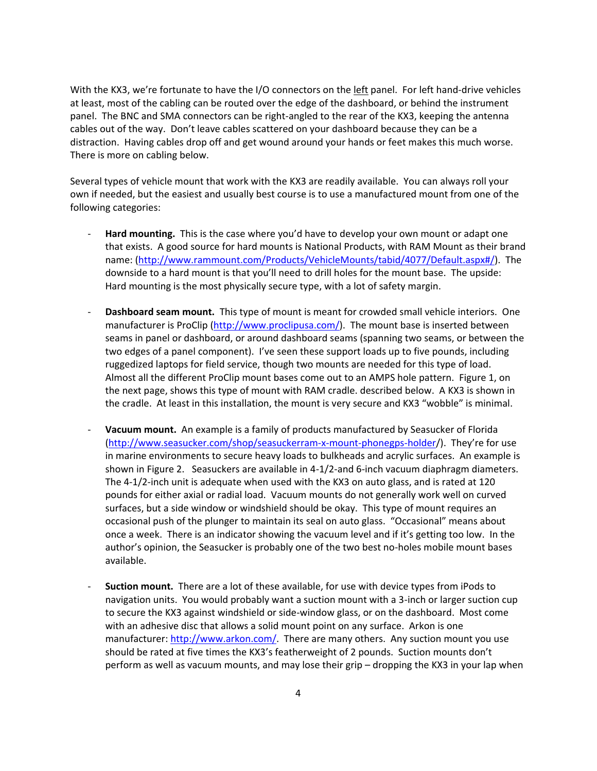With the KX3, we're fortunate to have the I/O connectors on the left panel. For left hand-drive vehicles at least, most of the cabling can be routed over the edge of the dashboard, or behind the instrument panel. The BNC and SMA connectors can be right‐angled to the rear of the KX3, keeping the antenna cables out of the way. Don't leave cables scattered on your dashboard because they can be a distraction. Having cables drop off and get wound around your hands or feet makes this much worse. There is more on cabling below.

Several types of vehicle mount that work with the KX3 are readily available. You can always roll your own if needed, but the easiest and usually best course is to use a manufactured mount from one of the following categories:

- ‐ **Hard mounting.** This is the case where you'd have to develop your own mount or adapt one that exists. A good source for hard mounts is National Products, with RAM Mount as their brand name: (http://www.rammount.com/Products/VehicleMounts/tabid/4077/Default.aspx#/). The downside to a hard mount is that you'll need to drill holes for the mount base. The upside: Hard mounting is the most physically secure type, with a lot of safety margin.
- ‐ **Dashboard seam mount.** This type of mount is meant for crowded small vehicle interiors. One manufacturer is ProClip (http://www.proclipusa.com/). The mount base is inserted between seams in panel or dashboard, or around dashboard seams (spanning two seams, or between the two edges of a panel component). I've seen these support loads up to five pounds, including ruggedized laptops for field service, though two mounts are needed for this type of load. Almost all the different ProClip mount bases come out to an AMPS hole pattern. Figure 1, on the next page, shows this type of mount with RAM cradle. described below. A KX3 is shown in the cradle. At least in this installation, the mount is very secure and KX3 "wobble" is minimal.
- ‐ **Vacuum mount.** An example is a family of products manufactured by Seasucker of Florida (http://www.seasucker.com/shop/seasuckerram‐x‐mount‐phonegps‐holder/). They're for use in marine environments to secure heavy loads to bulkheads and acrylic surfaces. An example is shown in Figure 2. Seasuckers are available in 4‐1/2‐and 6‐inch vacuum diaphragm diameters. The 4‐1/2‐inch unit is adequate when used with the KX3 on auto glass, and is rated at 120 pounds for either axial or radial load. Vacuum mounts do not generally work well on curved surfaces, but a side window or windshield should be okay. This type of mount requires an occasional push of the plunger to maintain its seal on auto glass. "Occasional" means about once a week. There is an indicator showing the vacuum level and if it's getting too low. In the author's opinion, the Seasucker is probably one of the two best no‐holes mobile mount bases available.
- ‐ **Suction mount.** There are a lot of these available, for use with device types from iPods to navigation units. You would probably want a suction mount with a 3-inch or larger suction cup to secure the KX3 against windshield or side‐window glass, or on the dashboard. Most come with an adhesive disc that allows a solid mount point on any surface. Arkon is one manufacturer: http://www.arkon.com/. There are many others. Any suction mount you use should be rated at five times the KX3's featherweight of 2 pounds. Suction mounts don't perform as well as vacuum mounts, and may lose their grip – dropping the KX3 in your lap when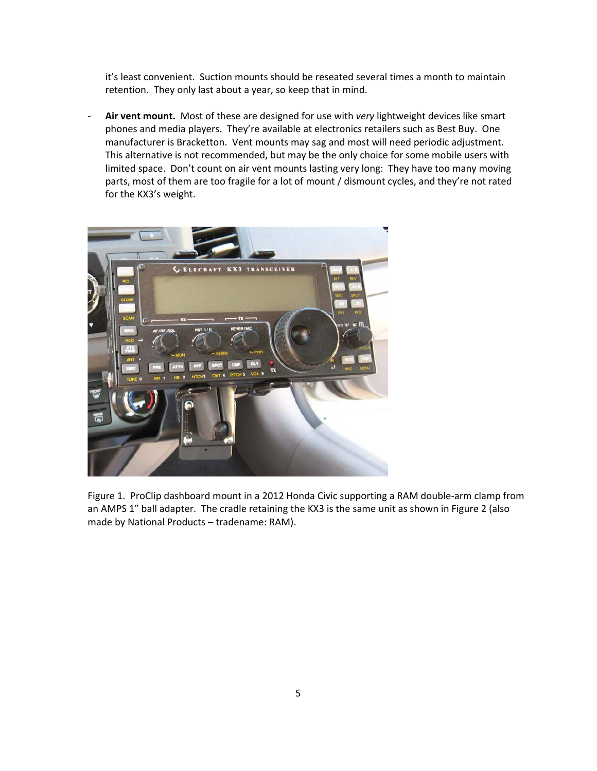it's least convenient. Suction mounts should be reseated several times a month to maintain retention. They only last about a year, so keep that in mind.

‐ **Air vent mount.** Most of these are designed for use with *very* lightweight devices like smart phones and media players. They're available at electronics retailers such as Best Buy. One manufacturer is Bracketton. Vent mounts may sag and most will need periodic adjustment. This alternative is not recommended, but may be the only choice for some mobile users with limited space. Don't count on air vent mounts lasting very long: They have too many moving parts, most of them are too fragile for a lot of mount / dismount cycles, and they're not rated for the KX3's weight.



Figure 1. ProClip dashboard mount in a 2012 Honda Civic supporting a RAM double-arm clamp from an AMPS 1" ball adapter. The cradle retaining the KX3 is the same unit as shown in Figure 2 (also made by National Products – tradename: RAM).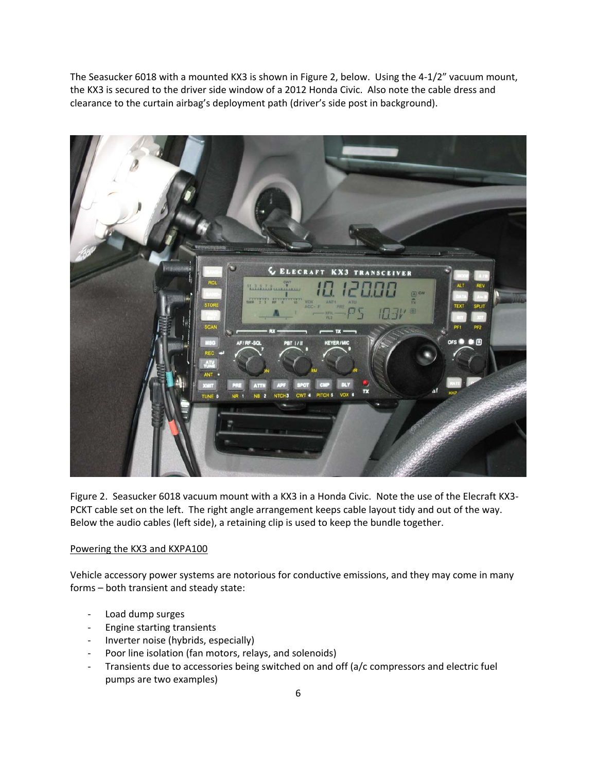The Seasucker 6018 with a mounted KX3 is shown in Figure 2, below. Using the 4‐1/2" vacuum mount, the KX3 is secured to the driver side window of a 2012 Honda Civic. Also note the cable dress and clearance to the curtain airbag's deployment path (driver's side post in background).



Figure 2. Seasucker 6018 vacuum mount with a KX3 in a Honda Civic. Note the use of the Elecraft KX3‐ PCKT cable set on the left. The right angle arrangement keeps cable layout tidy and out of the way. Below the audio cables (left side), a retaining clip is used to keep the bundle together.

## Powering the KX3 and KXPA100

Vehicle accessory power systems are notorious for conductive emissions, and they may come in many forms – both transient and steady state:

- ‐ Load dump surges
- ‐ Engine starting transients
- ‐ Inverter noise (hybrids, especially)
- ‐ Poor line isolation (fan motors, relays, and solenoids)
- ‐ Transients due to accessories being switched on and off (a/c compressors and electric fuel pumps are two examples)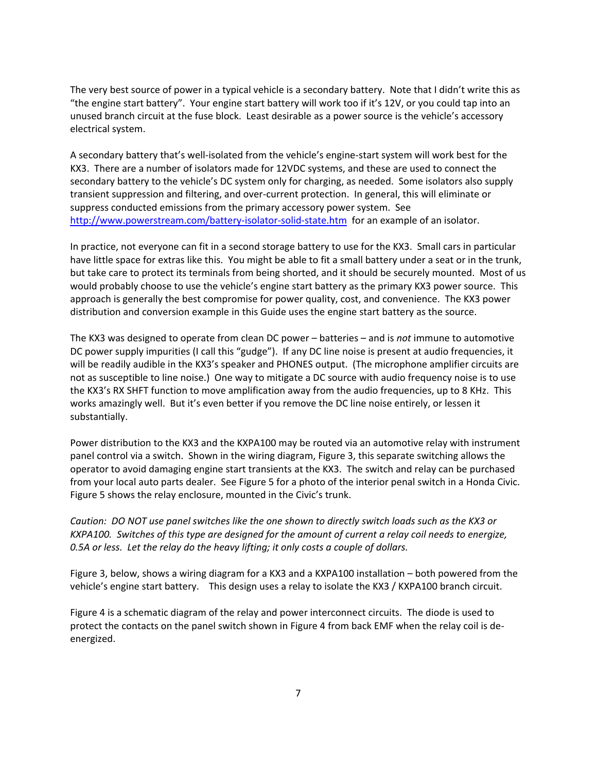The very best source of power in a typical vehicle is a secondary battery. Note that I didn't write this as "the engine start battery". Your engine start battery will work too if it's 12V, or you could tap into an unused branch circuit at the fuse block. Least desirable as a power source is the vehicle's accessory electrical system.

A secondary battery that's well‐isolated from the vehicle's engine‐start system will work best for the KX3. There are a number of isolators made for 12VDC systems, and these are used to connect the secondary battery to the vehicle's DC system only for charging, as needed. Some isolators also supply transient suppression and filtering, and over‐current protection. In general, this will eliminate or suppress conducted emissions from the primary accessory power system. See http://www.powerstream.com/battery-isolator-solid-state.htm for an example of an isolator.

In practice, not everyone can fit in a second storage battery to use for the KX3. Small cars in particular have little space for extras like this. You might be able to fit a small battery under a seat or in the trunk, but take care to protect its terminals from being shorted, and it should be securely mounted. Most of us would probably choose to use the vehicle's engine start battery as the primary KX3 power source. This approach is generally the best compromise for power quality, cost, and convenience. The KX3 power distribution and conversion example in this Guide uses the engine start battery as the source.

The KX3 was designed to operate from clean DC power – batteries – and is *not* immune to automotive DC power supply impurities (I call this "gudge"). If any DC line noise is present at audio frequencies, it will be readily audible in the KX3's speaker and PHONES output. (The microphone amplifier circuits are not as susceptible to line noise.) One way to mitigate a DC source with audio frequency noise is to use the KX3's RX SHFT function to move amplification away from the audio frequencies, up to 8 KHz. This works amazingly well. But it's even better if you remove the DC line noise entirely, or lessen it substantially.

Power distribution to the KX3 and the KXPA100 may be routed via an automotive relay with instrument panel control via a switch. Shown in the wiring diagram, Figure 3, this separate switching allows the operator to avoid damaging engine start transients at the KX3. The switch and relay can be purchased from your local auto parts dealer. See Figure 5 for a photo of the interior penal switch in a Honda Civic. Figure 5 shows the relay enclosure, mounted in the Civic's trunk.

*Caution: DO NOT use panel switches like the one shown to directly switch loads such as the KX3 or KXPA100. Switches of this type are designed for the amount of current a relay coil needs to energize, 0.5A or less. Let the relay do the heavy lifting; it only costs a couple of dollars.* 

Figure 3, below, shows a wiring diagram for a KX3 and a KXPA100 installation – both powered from the vehicle's engine start battery. This design uses a relay to isolate the KX3 / KXPA100 branch circuit.

Figure 4 is a schematic diagram of the relay and power interconnect circuits. The diode is used to protect the contacts on the panel switch shown in Figure 4 from back EMF when the relay coil is de‐ energized.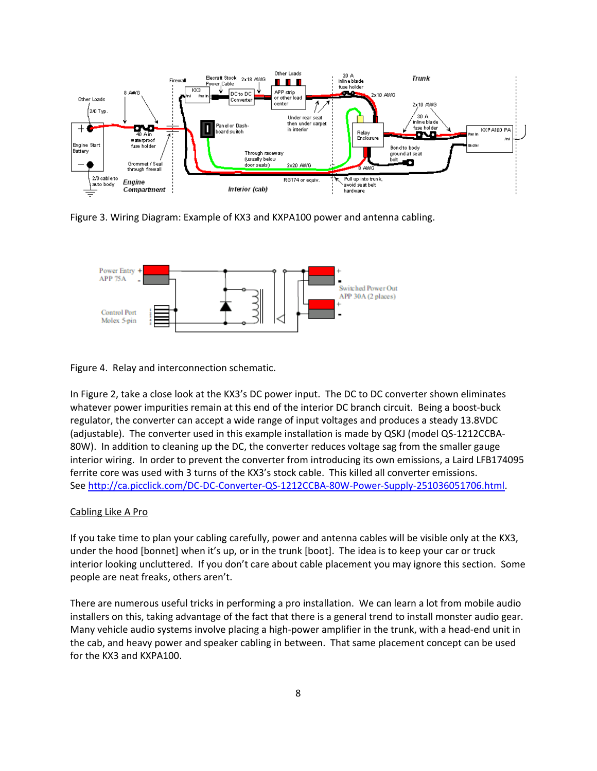

Figure 3. Wiring Diagram: Example of KX3 and KXPA100 power and antenna cabling.



Figure 4. Relay and interconnection schematic.

In Figure 2, take a close look at the KX3's DC power input. The DC to DC converter shown eliminates whatever power impurities remain at this end of the interior DC branch circuit. Being a boost-buck regulator, the converter can accept a wide range of input voltages and produces a steady 13.8VDC (adjustable). The converter used in this example installation is made by QSKJ (model QS‐1212CCBA‐ 80W). In addition to cleaning up the DC, the converter reduces voltage sag from the smaller gauge interior wiring. In order to prevent the converter from introducing its own emissions, a Laird LFB174095 ferrite core was used with 3 turns of the KX3's stock cable. This killed all converter emissions. See http://ca.picclick.com/DC‐DC‐Converter‐QS‐1212CCBA‐80W‐Power‐Supply‐251036051706.html.

## Cabling Like A Pro

If you take time to plan your cabling carefully, power and antenna cables will be visible only at the KX3, under the hood [bonnet] when it's up, or in the trunk [boot]. The idea is to keep your car or truck interior looking uncluttered. If you don't care about cable placement you may ignore this section. Some people are neat freaks, others aren't.

There are numerous useful tricks in performing a pro installation. We can learn a lot from mobile audio installers on this, taking advantage of the fact that there is a general trend to install monster audio gear. Many vehicle audio systems involve placing a high‐power amplifier in the trunk, with a head‐end unit in the cab, and heavy power and speaker cabling in between. That same placement concept can be used for the KX3 and KXPA100.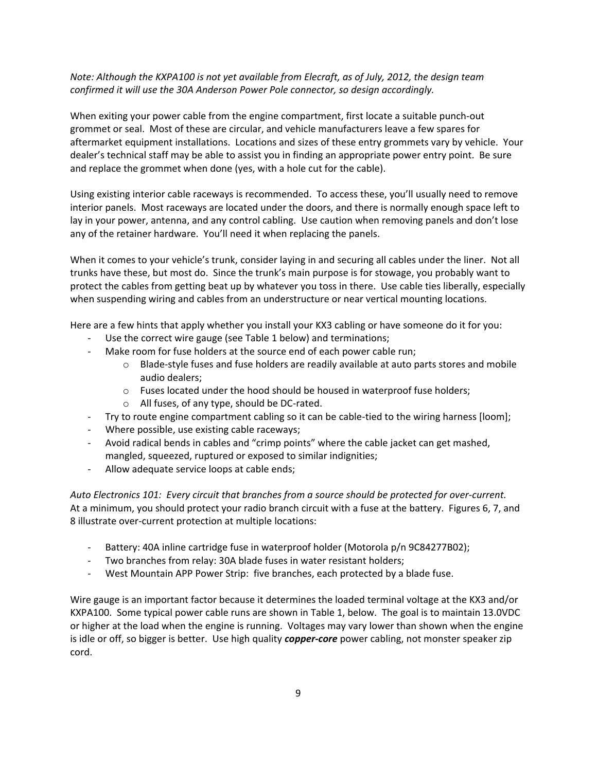# *Note: Although the KXPA100 is not yet available from Elecraft, as of July, 2012, the design team confirmed it will use the 30A Anderson Power Pole connector, so design accordingly.*

When exiting your power cable from the engine compartment, first locate a suitable punch-out grommet or seal. Most of these are circular, and vehicle manufacturers leave a few spares for aftermarket equipment installations. Locations and sizes of these entry grommets vary by vehicle. Your dealer's technical staff may be able to assist you in finding an appropriate power entry point. Be sure and replace the grommet when done (yes, with a hole cut for the cable).

Using existing interior cable raceways is recommended. To access these, you'll usually need to remove interior panels. Most raceways are located under the doors, and there is normally enough space left to lay in your power, antenna, and any control cabling. Use caution when removing panels and don't lose any of the retainer hardware. You'll need it when replacing the panels.

When it comes to your vehicle's trunk, consider laying in and securing all cables under the liner. Not all trunks have these, but most do. Since the trunk's main purpose is for stowage, you probably want to protect the cables from getting beat up by whatever you toss in there. Use cable ties liberally, especially when suspending wiring and cables from an understructure or near vertical mounting locations.

Here are a few hints that apply whether you install your KX3 cabling or have someone do it for you:

- Use the correct wire gauge (see Table 1 below) and terminations;
- ‐ Make room for fuse holders at the source end of each power cable run;
	- o Blade‐style fuses and fuse holders are readily available at auto parts stores and mobile audio dealers;
	- o Fuses located under the hood should be housed in waterproof fuse holders;
	- o All fuses, of any type, should be DC‐rated.
- ‐ Try to route engine compartment cabling so it can be cable‐tied to the wiring harness [loom];
- ‐ Where possible, use existing cable raceways;
- ‐ Avoid radical bends in cables and "crimp points" where the cable jacket can get mashed, mangled, squeezed, ruptured or exposed to similar indignities;
- ‐ Allow adequate service loops at cable ends;

*Auto Electronics 101: Every circuit that branches from a source should be protected for over‐current.*  At a minimum, you should protect your radio branch circuit with a fuse at the battery. Figures 6, 7, and 8 illustrate over‐current protection at multiple locations:

- ‐ Battery: 40A inline cartridge fuse in waterproof holder (Motorola p/n 9C84277B02);
- ‐ Two branches from relay: 30A blade fuses in water resistant holders;
- ‐ West Mountain APP Power Strip: five branches, each protected by a blade fuse.

Wire gauge is an important factor because it determines the loaded terminal voltage at the KX3 and/or KXPA100. Some typical power cable runs are shown in Table 1, below. The goal is to maintain 13.0VDC or higher at the load when the engine is running. Voltages may vary lower than shown when the engine is idle or off, so bigger is better. Use high quality *copper‐core* power cabling, not monster speaker zip cord.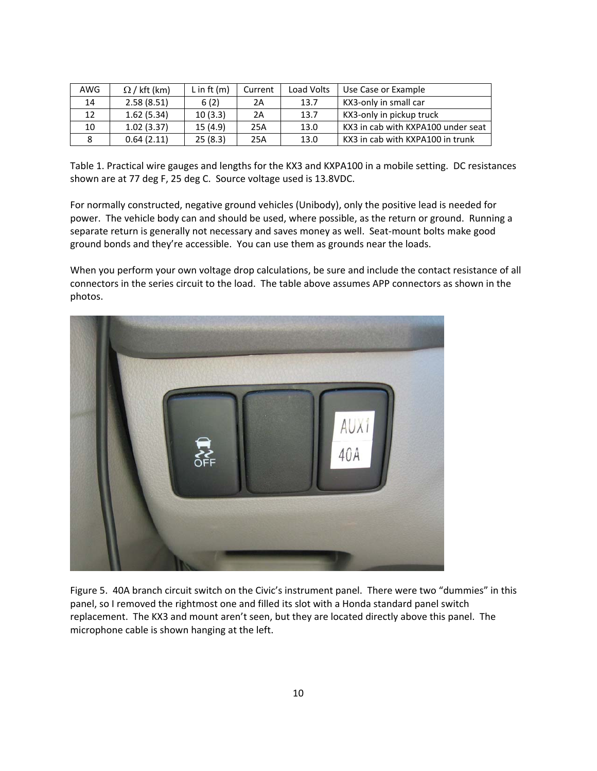| AWG | $\Omega$ / kft (km) | L in ft $(m)$ | Current | Load Volts | Use Case or Example                |
|-----|---------------------|---------------|---------|------------|------------------------------------|
| 14  | 2.58(8.51)          | 6(2)          | 2Α      | 13.7       | KX3-only in small car              |
| 12  | 1.62(5.34)          | 10(3.3)       | 2A      | 13.7       | KX3-only in pickup truck           |
| 10  | 1.02(3.37)          | 15(4.9)       | 25A     | 13.0       | KX3 in cab with KXPA100 under seat |
| 8   | 0.64(2.11)          | 25(8.3)       | 25A     | 13.0       | KX3 in cab with KXPA100 in trunk   |

Table 1. Practical wire gauges and lengths for the KX3 and KXPA100 in a mobile setting. DC resistances shown are at 77 deg F, 25 deg C. Source voltage used is 13.8VDC.

For normally constructed, negative ground vehicles (Unibody), only the positive lead is needed for power. The vehicle body can and should be used, where possible, as the return or ground. Running a separate return is generally not necessary and saves money as well. Seat-mount bolts make good ground bonds and they're accessible. You can use them as grounds near the loads.

When you perform your own voltage drop calculations, be sure and include the contact resistance of all connectors in the series circuit to the load. The table above assumes APP connectors as shown in the photos.



Figure 5. 40A branch circuit switch on the Civic's instrument panel. There were two "dummies" in this panel, so I removed the rightmost one and filled its slot with a Honda standard panel switch replacement. The KX3 and mount aren't seen, but they are located directly above this panel. The microphone cable is shown hanging at the left.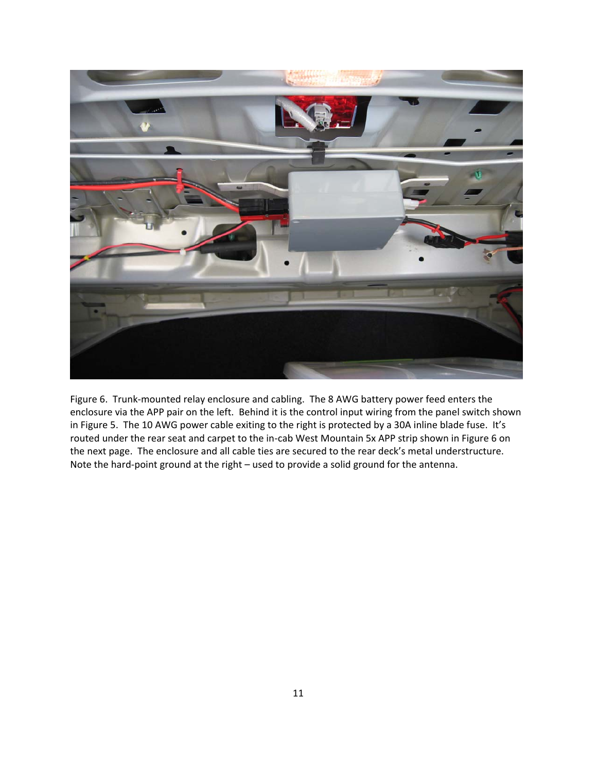

Figure 6. Trunk‐mounted relay enclosure and cabling. The 8 AWG battery power feed enters the enclosure via the APP pair on the left. Behind it is the control input wiring from the panel switch shown in Figure 5. The 10 AWG power cable exiting to the right is protected by a 30A inline blade fuse. It's routed under the rear seat and carpet to the in‐cab West Mountain 5x APP strip shown in Figure 6 on the next page. The enclosure and all cable ties are secured to the rear deck's metal understructure. Note the hard‐point ground at the right – used to provide a solid ground for the antenna.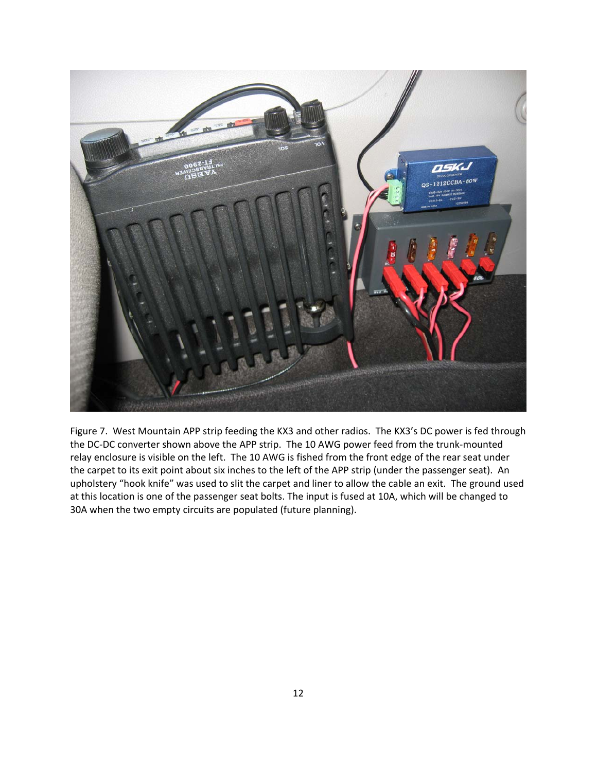

Figure 7. West Mountain APP strip feeding the KX3 and other radios. The KX3's DC power is fed through the DC‐DC converter shown above the APP strip. The 10 AWG power feed from the trunk‐mounted relay enclosure is visible on the left. The 10 AWG is fished from the front edge of the rear seat under the carpet to its exit point about six inches to the left of the APP strip (under the passenger seat). An upholstery "hook knife" was used to slit the carpet and liner to allow the cable an exit. The ground used at this location is one of the passenger seat bolts. The input is fused at 10A, which will be changed to 30A when the two empty circuits are populated (future planning).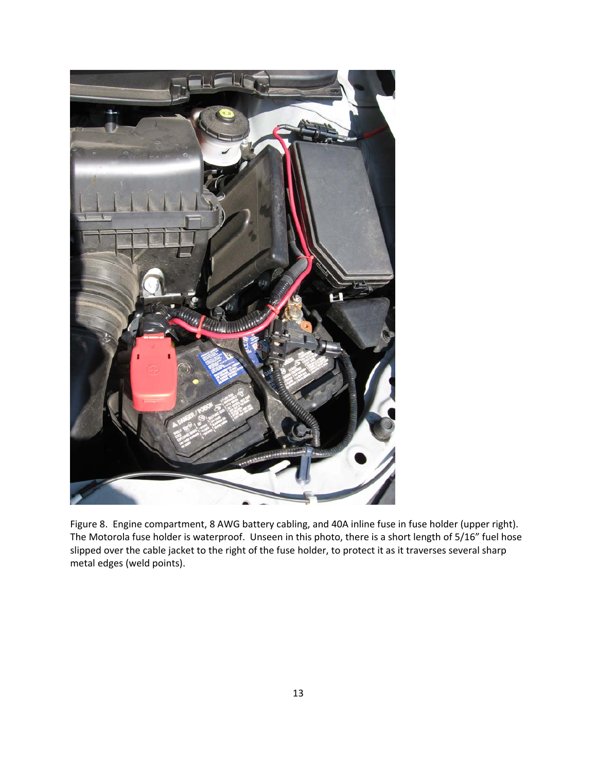

Figure 8. Engine compartment, 8 AWG battery cabling, and 40A inline fuse in fuse holder (upper right). The Motorola fuse holder is waterproof. Unseen in this photo, there is a short length of 5/16" fuel hose slipped over the cable jacket to the right of the fuse holder, to protect it as it traverses several sharp metal edges (weld points).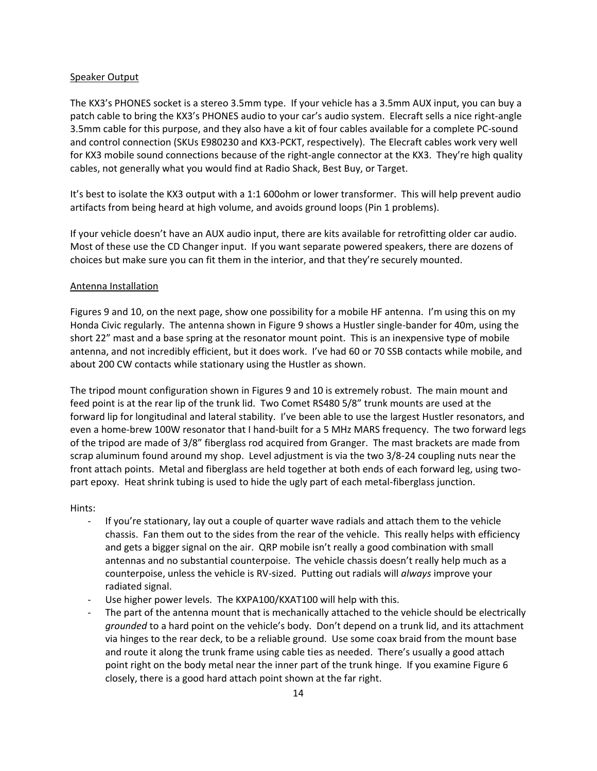### Speaker Output

The KX3's PHONES socket is a stereo 3.5mm type. If your vehicle has a 3.5mm AUX input, you can buy a patch cable to bring the KX3's PHONES audio to your car's audio system. Elecraft sells a nice right‐angle 3.5mm cable for this purpose, and they also have a kit of four cables available for a complete PC‐sound and control connection (SKUs E980230 and KX3‐PCKT, respectively). The Elecraft cables work very well for KX3 mobile sound connections because of the right-angle connector at the KX3. They're high quality cables, not generally what you would find at Radio Shack, Best Buy, or Target.

It's best to isolate the KX3 output with a 1:1 600ohm or lower transformer. This will help prevent audio artifacts from being heard at high volume, and avoids ground loops (Pin 1 problems).

If your vehicle doesn't have an AUX audio input, there are kits available for retrofitting older car audio. Most of these use the CD Changer input. If you want separate powered speakers, there are dozens of choices but make sure you can fit them in the interior, and that they're securely mounted.

### Antenna Installation

Figures 9 and 10, on the next page, show one possibility for a mobile HF antenna. I'm using this on my Honda Civic regularly. The antenna shown in Figure 9 shows a Hustler single‐bander for 40m, using the short 22" mast and a base spring at the resonator mount point. This is an inexpensive type of mobile antenna, and not incredibly efficient, but it does work. I've had 60 or 70 SSB contacts while mobile, and about 200 CW contacts while stationary using the Hustler as shown.

The tripod mount configuration shown in Figures 9 and 10 is extremely robust. The main mount and feed point is at the rear lip of the trunk lid. Two Comet RS480 5/8" trunk mounts are used at the forward lip for longitudinal and lateral stability. I've been able to use the largest Hustler resonators, and even a home-brew 100W resonator that I hand-built for a 5 MHz MARS frequency. The two forward legs of the tripod are made of 3/8" fiberglass rod acquired from Granger. The mast brackets are made from scrap aluminum found around my shop. Level adjustment is via the two 3/8‐24 coupling nuts near the front attach points. Metal and fiberglass are held together at both ends of each forward leg, using twopart epoxy. Heat shrink tubing is used to hide the ugly part of each metal-fiberglass junction.

Hints:

- ‐ If you're stationary, lay out a couple of quarter wave radials and attach them to the vehicle chassis. Fan them out to the sides from the rear of the vehicle. This really helps with efficiency and gets a bigger signal on the air. QRP mobile isn't really a good combination with small antennas and no substantial counterpoise. The vehicle chassis doesn't really help much as a counterpoise, unless the vehicle is RV‐sized. Putting out radials will *always* improve your radiated signal.
- Use higher power levels. The KXPA100/KXAT100 will help with this.
- The part of the antenna mount that is mechanically attached to the vehicle should be electrically *grounded* to a hard point on the vehicle's body. Don't depend on a trunk lid, and its attachment via hinges to the rear deck, to be a reliable ground. Use some coax braid from the mount base and route it along the trunk frame using cable ties as needed. There's usually a good attach point right on the body metal near the inner part of the trunk hinge. If you examine Figure 6 closely, there is a good hard attach point shown at the far right.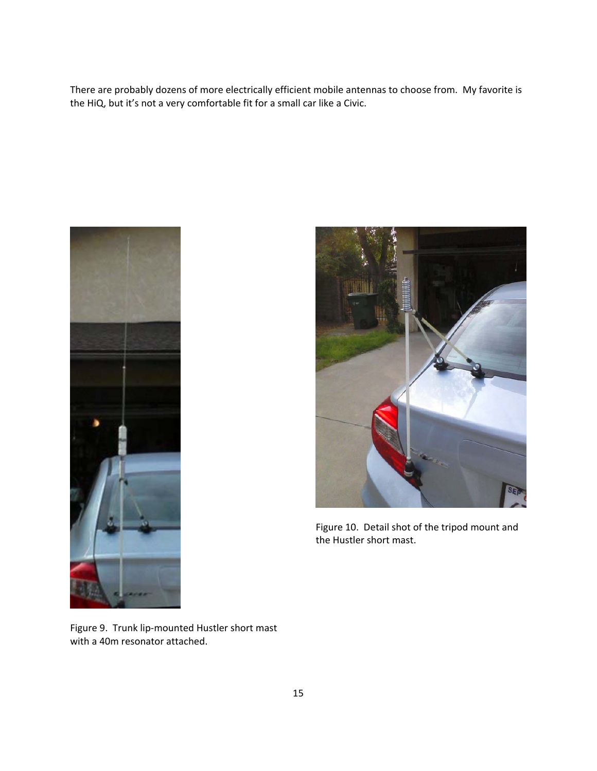There are probably dozens of more electrically efficient mobile antennas to choose from. My favorite is the HiQ, but it's not a very comfortable fit for a small car like a Civic.





Figure 10. Detail shot of the tripod mount and the Hustler short mast.

Figure 9. Trunk lip‐mounted Hustler short mast with a 40m resonator attached.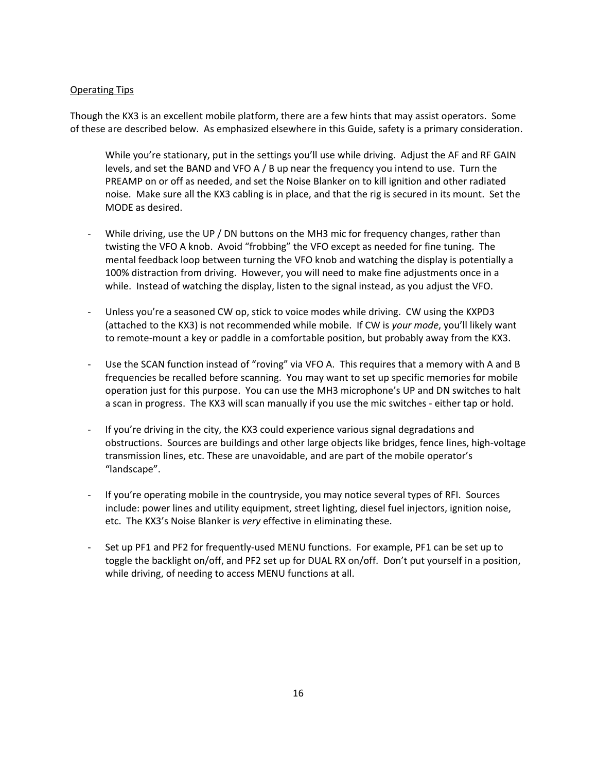# Operating Tips

Though the KX3 is an excellent mobile platform, there are a few hints that may assist operators. Some of these are described below. As emphasized elsewhere in this Guide, safety is a primary consideration.

While you're stationary, put in the settings you'll use while driving. Adjust the AF and RF GAIN levels, and set the BAND and VFO A / B up near the frequency you intend to use. Turn the PREAMP on or off as needed, and set the Noise Blanker on to kill ignition and other radiated noise. Make sure all the KX3 cabling is in place, and that the rig is secured in its mount. Set the MODE as desired.

- While driving, use the UP / DN buttons on the MH3 mic for frequency changes, rather than twisting the VFO A knob. Avoid "frobbing" the VFO except as needed for fine tuning. The mental feedback loop between turning the VFO knob and watching the display is potentially a 100% distraction from driving. However, you will need to make fine adjustments once in a while. Instead of watching the display, listen to the signal instead, as you adjust the VFO.
- Unless you're a seasoned CW op, stick to voice modes while driving. CW using the KXPD3 (attached to the KX3) is not recommended while mobile. If CW is *your mode*, you'll likely want to remote‐mount a key or paddle in a comfortable position, but probably away from the KX3.
- Use the SCAN function instead of "roving" via VFO A. This requires that a memory with A and B frequencies be recalled before scanning. You may want to set up specific memories for mobile operation just for this purpose. You can use the MH3 microphone's UP and DN switches to halt a scan in progress. The KX3 will scan manually if you use the mic switches ‐ either tap or hold.
- ‐ If you're driving in the city, the KX3 could experience various signal degradations and obstructions. Sources are buildings and other large objects like bridges, fence lines, high‐voltage transmission lines, etc. These are unavoidable, and are part of the mobile operator's "landscape".
- ‐ If you're operating mobile in the countryside, you may notice several types of RFI. Sources include: power lines and utility equipment, street lighting, diesel fuel injectors, ignition noise, etc. The KX3's Noise Blanker is *very* effective in eliminating these.
- ‐ Set up PF1 and PF2 for frequently‐used MENU functions. For example, PF1 can be set up to toggle the backlight on/off, and PF2 set up for DUAL RX on/off. Don't put yourself in a position, while driving, of needing to access MENU functions at all.